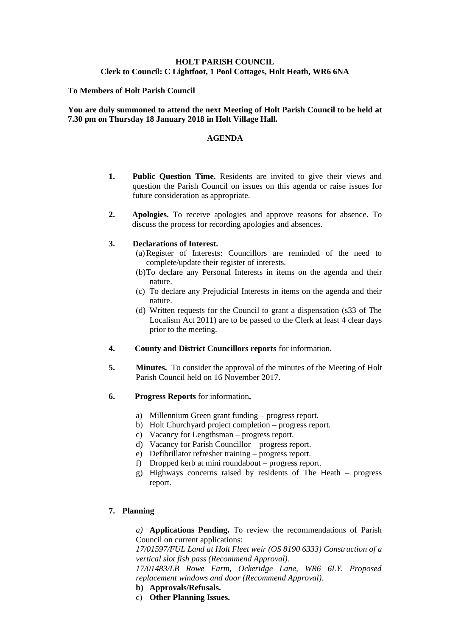# **HOLT PARISH COUNCIL Clerk to Council: C Lightfoot, 1 Pool Cottages, Holt Heath, WR6 6NA**

### **To Members of Holt Parish Council**

## **You are duly summoned to attend the next Meeting of Holt Parish Council to be held at 7.30 pm on Thursday 18 January 2018 in Holt Village Hall.**

#### **AGENDA**

- **1. Public Question Time.** Residents are invited to give their views and question the Parish Council on issues on this agenda or raise issues for future consideration as appropriate.
- **2. Apologies.** To receive apologies and approve reasons for absence. To discuss the process for recording apologies and absences.

#### **3. Declarations of Interest.**

- (a)Register of Interests: Councillors are reminded of the need to complete/update their register of interests.
- (b)To declare any Personal Interests in items on the agenda and their nature.
- (c) To declare any Prejudicial Interests in items on the agenda and their nature.
- (d) Written requests for the Council to grant a dispensation (s33 of The Localism Act 2011) are to be passed to the Clerk at least 4 clear days prior to the meeting.
- **4. County and District Councillors reports** for information.
- **5. Minutes.** To consider the approval of the minutes of the Meeting of Holt Parish Council held on 16 November 2017.
- **6. Progress Reports** for information**.**
	- a) Millennium Green grant funding progress report.
	- b) Holt Churchyard project completion progress report.
	- c) Vacancy for Lengthsman progress report.
	- d) Vacancy for Parish Councillor progress report.
	- e) Defibrillator refresher training progress report.
	- f) Dropped kerb at mini roundabout progress report.
	- g) Highways concerns raised by residents of The Heath progress report.

## **7. Planning**

*a)* **Applications Pending.** To review the recommendations of Parish Council on current applications:

*17/01597/FUL Land at Holt Fleet weir (OS 8190 6333) Construction of a vertical slot fish pass (Recommend Approval).*

*17/01483/LB Rowe Farm, Ockeridge Lane, WR6 6LY. Proposed replacement windows and door (Recommend Approval).*

- **b) Approvals/Refusals.**
- c) **Other Planning Issues.**